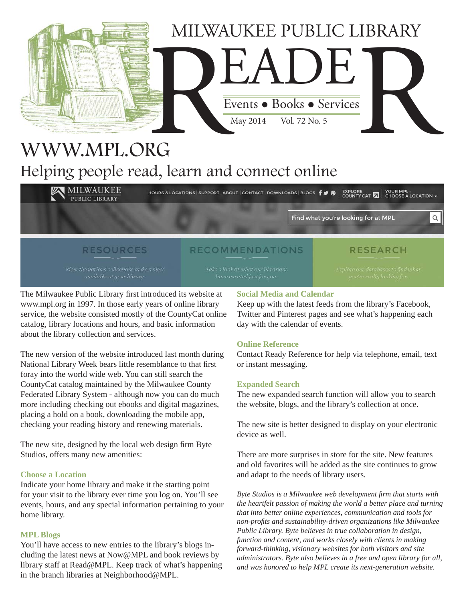

## WWW.MPL.ORG Helping people read, learn and connect online

**MILWAUKEE** HOURS & LOCATIONS SUPPORT ABOUT CONTACT DOWNLOADS BLOGS  $\big\{ \big\}$  **O** EXPLORE A LOCATION -**PUBLIC LIBRARY** Q Find what you're looking for at MPL

#### **RESOURCES**

## **RECOMMENDATIONS**

**RESEARCH** 

The Milwaukee Public Library first introduced its website at www.mpl.org in 1997. In those early years of online library service, the website consisted mostly of the CountyCat online catalog, library locations and hours, and basic information about the library collection and services.

The new version of the website introduced last month during National Library Week bears little resemblance to that first foray into the world wide web. You can still search the CountyCat catalog maintained by the Milwaukee County Federated Library System - although now you can do much more including checking out ebooks and digital magazines, placing a hold on a book, downloading the mobile app, checking your reading history and renewing materials.

The new site, designed by the local web design firm Byte Studios, offers many new amenities:

#### **Choose a Location**

Indicate your home library and make it the starting point for your visit to the library ever time you log on. You'll see events, hours, and any special information pertaining to your home library.

#### **MPL Blogs**

You'll have access to new entries to the library's blogs including the latest news at Now@MPL and book reviews by library staff at Read@MPL. Keep track of what's happening in the branch libraries at Neighborhood@MPL.

#### **Social Media and Calendar**

Keep up with the latest feeds from the library's Facebook, Twitter and Pinterest pages and see what's happening each day with the calendar of events.

#### **Online Reference**

Contact Ready Reference for help via telephone, email, text or instant messaging.

#### **Expanded Search**

The new expanded search function will allow you to search the website, blogs, and the library's collection at once.

The new site is better designed to display on your electronic device as well.

There are more surprises in store for the site. New features and old favorites will be added as the site continues to grow and adapt to the needs of library users.

*Byte Studios is a Milwaukee web development firm that starts with the heartfelt passion of making the world a better place and turning that into better online experiences, communication and tools for non-profi ts and sustainability-driven organizations like Milwaukee Public Library. Byte believes in true collaboration in design, function and content, and works closely with clients in making forward-thinking, visionary websites for both visitors and site administrators. Byte also believes in a free and open library for all, and was honored to help MPL create its next-generation website.*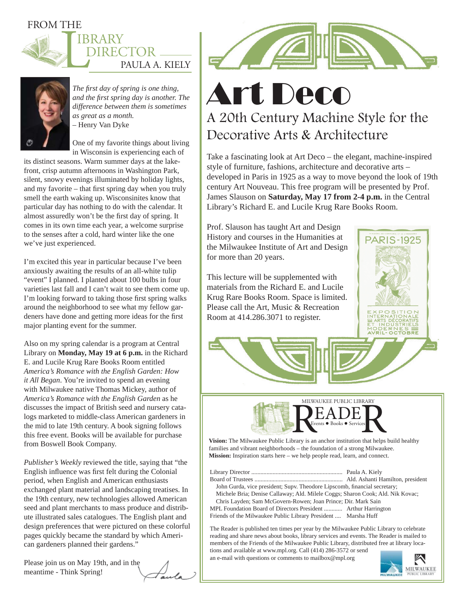### FROM THE





*The fi rst day of spring is one thing, and the fi rst spring day is another. The difference between them is sometimes as great as a month.* – Henry Van Dyke

One of my favorite things about living in Wisconsin is experiencing each of

its distinct seasons. Warm summer days at the lakefront, crisp autumn afternoons in Washington Park, silent, snowy evenings illuminated by holiday lights, and my favorite – that first spring day when you truly smell the earth waking up. Wisconsinites know that particular day has nothing to do with the calendar. It almost assuredly won't be the first day of spring. It comes in its own time each year, a welcome surprise to the senses after a cold, hard winter like the one we've just experienced.

I'm excited this year in particular because I've been anxiously awaiting the results of an all-white tulip "event" I planned. I planted about 100 bulbs in four varieties last fall and I can't wait to see them come up. I'm looking forward to taking those first spring walks around the neighborhood to see what my fellow gardeners have done and getting more ideas for the first major planting event for the summer.

Also on my spring calendar is a program at Central Library on **Monday, May 19 at 6 p.m.** in the Richard E. and Lucile Krug Rare Books Room entitled *America's Romance with the English Garden: How it All Began*. You're invited to spend an evening with Milwaukee native Thomas Mickey, author of *America's Romance with the English Garden* as he discusses the impact of British seed and nursery catalogs marketed to middle-class American gardeners in the mid to late 19th century. A book signing follows this free event. Books will be available for purchase from Boswell Book Company.

*Publisher's Weekly* reviewed the title, saying that "the English influence was first felt during the Colonial period, when English and American enthusiasts exchanged plant material and landscaping treatises. In the 19th century, new technologies allowed American seed and plant merchants to mass produce and distribute illustrated sales catalogues. The English plant and design preferences that were pictured on these colorful pages quickly became the standard by which American gardeners planned their gardens."

Please join us on May 19th, and in the meantime - Think Spring!



# Art Deco A 20th Century Machine Style for the Decorative Arts & Architecture

Take a fascinating look at Art Deco – the elegant, machine-inspired style of furniture, fashions, architecture and decorative arts – developed in Paris in 1925 as a way to move beyond the look of 19th century Art Nouveau. This free program will be presented by Prof. James Slauson on **Saturday, May 17 from 2-4 p.m.** in the Central Library's Richard E. and Lucile Krug Rare Books Room.

Prof. Slauson has taught Art and Design History and courses in the Humanities at the Milwaukee Institute of Art and Design for more than 20 years.

This lecture will be supplemented with materials from the Richard E. and Lucile Krug Rare Books Room. Space is limited. Please call the Art, Music & Recreation Room at 414.286.3071 to register.





**Vision:** The Milwaukee Public Library is an anchor institution that helps build healthy families and vibrant neighborhoods – the foundation of a strong Milwaukee. **Mission:** Inspiration starts here – we help people read, learn, and connect.

Library Director ............................................................ Paula A. Kiely Board of Trustees .......................................................... Ald. Ashanti Hamilton, president John Gurda, vice president; Supv. Theodore Lipscomb, financial secretary; Michele Bria; Denise Callaway; Ald. Milele Coggs; Sharon Cook; Ald. Nik Kovac; Chris Layden; Sam McGovern-Rowen; Joan Prince; Dir. Mark Sain MPL Foundation Board of Directors President ............ Arthur Harrington Friends of the Milwaukee Public Library President .... Marsha Huff

The Reader is published ten times per year by the Milwaukee Public Library to celebrate reading and share news about books, library services and events. The Reader is mailed to members of the Friends of the Milwaukee Public Library, distributed free at library locations and available at www.mpl.org. Call (414) 286-3572 or send

an e-mail with questions or comments to mailbox@mpl.org

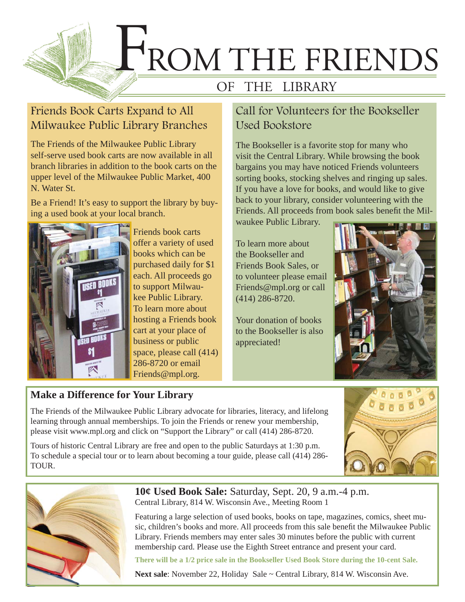

## Friends Book Carts Expand to All Milwaukee Public Library Branches

The Friends of the Milwaukee Public Library self-serve used book carts are now available in all branch libraries in addition to the book carts on the upper level of the Milwaukee Public Market, 400 N. Water St.

Be a Friend! It's easy to support the library by buying a used book at your local branch.



Friends book carts offer a variety of used books which can be purchased daily for \$1 each. All proceeds go to support Milwaukee Public Library. To learn more about hosting a Friends book cart at your place of business or public space, please call (414) 286-8720 or email Friends@mpl.org.

## Call for Volunteers for the Bookseller Used Bookstore

The Bookseller is a favorite stop for many who visit the Central Library. While browsing the book bargains you may have noticed Friends volunteers sorting books, stocking shelves and ringing up sales. If you have a love for books, and would like to give back to your library, consider volunteering with the Friends. All proceeds from book sales benefit the Mil-

waukee Public Library.

To learn more about the Bookseller and Friends Book Sales, or to volunteer please email Friends@mpl.org or call (414) 286-8720.

Your donation of books to the Bookseller is also appreciated!



### **Make a Difference for Your Library**

The Friends of the Milwaukee Public Library advocate for libraries, literacy, and lifelong learning through annual memberships. To join the Friends or renew your membership, please visit www.mpl.org and click on "Support the Library" or call (414) 286-8720.

Tours of historic Central Library are free and open to the public Saturdays at 1:30 p.m. To schedule a special tour or to learn about becoming a tour guide, please call (414) 286- TOUR.





**10¢ Used Book Sale:** Saturday, Sept. 20, 9 a.m.-4 p.m. Central Library, 814 W. Wisconsin Ave., Meeting Room 1

Featuring a large selection of used books, books on tape, magazines, comics, sheet music, children's books and more. All proceeds from this sale benefit the Milwaukee Public Library. Friends members may enter sales 30 minutes before the public with current membership card. Please use the Eighth Street entrance and present your card.

**There will be a 1/2 price sale in the Bookseller Used Book Store during the 10-cent Sale.**

**Next sale**: November 22, Holiday Sale ~ Central Library, 814 W. Wisconsin Ave.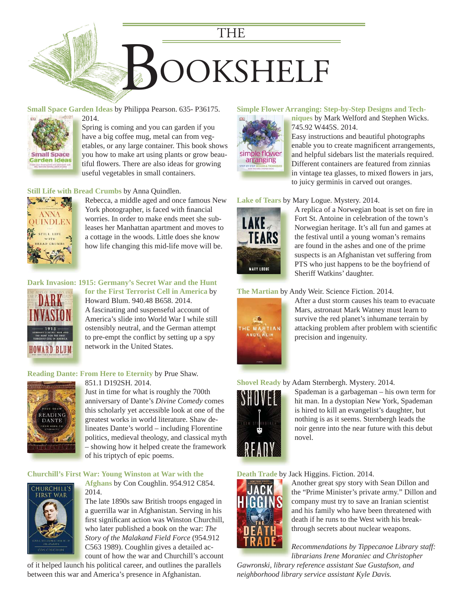

#### **Small Space Garden Ideas** by Philippa Pearson. 635- P36175.



2014. 2 Spring is coming and you can garden if you S have a big coffee mug, metal can from veg-h [etables, or any large container. This book shows](https://encore.mcfls.org/iii/encore/record/C__Rb3723006)  e you how to make art using plants or grow beautiful flowers. There are also ideas for growing useful vegetables in small containers. u

#### **Still Life with Bread Crumbs** by Anna Quindlen.



[Rebecca, a middle aged and once famous New](https://encore.mcfls.org/iii/encore/record/C__Rb3724866)  York photographer, is faced with financial worries. In order to make ends meet she subleases her Manhattan apartment and moves to a cottage in the woods. Little does she know how life changing this mid-life move will be.

#### **[Dark Invasion: 1915: Germany's Secret War and the Hunt](https://encore.mcfls.org/iii/encore/record/C__Rb3733208)**



**for the First Terrorist Cell in America** by Howard Blum. 940.48 B658. 2014. A fascinating and suspenseful account of America's slide into World War I while still ostensibly neutral, and the German attempt to pre-empt the conflict by setting up a spy network in the United States.

#### **Reading Dante: From Here to Eternity** by Prue Shaw.



851.1 D192SH. 2014. Just in time for what is roughly the 700th anniversary of Dante's *Divine Comedy* comes this scholarly yet accessible look at one of the greatest works in world literature. Shaw delineates Dante's world – including Florentine [politics, medieval theology, and classical myth](https://encore.mcfls.org/iii/encore/record/C__Rb3722435)  p – showing how it helped create the framework –

#### **Churchill's First War: Young Winston at War with the**

of his triptych of epic poems.



**Afghans** by Con Coughlin. 954.912 C854. 2014.

The late 1890s saw British troops engaged in a guerrilla war in Afghanistan. Serving in his first significant action was Winston Churchill, who later published a book on the war: *The Story of the Malakand Field Force* (954.912 C563 1989). Coughlin gives a detailed account of how the war and Churchill's account

of it helped launch his political career, and outlines the parallels between this war and America's presence in Afghanistan.

#### **[Simple Flower Arranging: Step-by-Step Designs and Tech-](https://encore.mcfls.org/iii/encore/record/C__Rb3718621)**



**niques** by Mark Welford and Stephen Wicks. **n** 745.92 W445S. 2014. 7

Easy instructions and beautiful photographs E enable you to create magnificent arrangements, and helpful sidebars list the materials required. a Different containers are featured from zinnias D in vintage tea glasses, to mixed flowers in jars, to juicy germinis in carved out oranges. t

#### **Lake of Tears** by Mary Logue. Mystery. 2014.



A replica of a Norwegian boat is set on fire in Fort St. Antoine in celebration of the town's Norwegian heritage. It's all fun and games at the festival until a young woman's remains are found in the ashes and one of the prime [suspects is an Afghanistan vet suffering from](https://encore.mcfls.org/iii/encore/record/C__Rb3725179)  PTS who just happens to be the boyfriend of Sheriff Watkins' daughter.

#### **The Martian** by Andy Weir. Science Fiction. 2014.



[After a dust storm causes his team to evacuate](https://encore.mcfls.org/iii/encore/record/C__Rb3720325)  Mars, astronaut Mark Watney must learn to survive the red planet's inhumane terrain by attacking problem after problem with scientific precision and ingenuity.

#### **Shovel Ready** by Adam Sternbergh. Mystery. 2014.



[Spademan is a garbageman – his own term for](https://encore.mcfls.org/iii/encore/record/C__Rb3714759)  hit man. In a dystopian New York, Spademan is hired to kill an evangelist's daughter, but nothing is as it seems. Sternbergh leads the noir genre into the near future with this debut novel.

#### **Death Trade** by Jack Higgins. Fiction. 2014.



Another great spy story with Sean Dillon and A the "Prime Minister's private army." Dillon and company must try to save an Iranian scientist c and his family who have been threatened with a death if he runs to the West with his break-d through secrets about nuclear weapons. t

*Recommendations by Tippecanoe Library staff: R librarians Irene Moraniec and Christopher l*

*Gawronski, library reference assistant Sue Gustafson, and neighborhood library service assistant Kyle Davis.*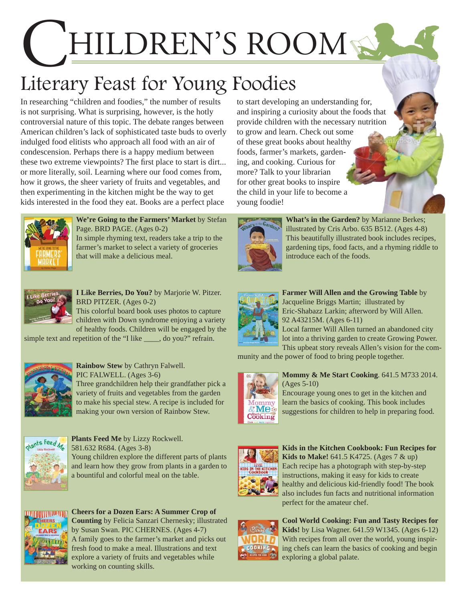# HILDREN'S ROOM

# Literary Feast for Young Foodies

In researching "children and foodies," the number of results is not surprising. What is surprising, however, is the hotly controversial nature of this topic. The debate ranges between American children's lack of sophisticated taste buds to overly indulged food elitists who approach all food with an air of condescension. Perhaps there is a happy medium between these two extreme viewpoints? The first place to start is dirt... or more literally, soil. Learning where our food comes from, how it grows, the sheer variety of fruits and vegetables, and then experimenting in the kitchen might be the way to get kids interested in the food they eat. Books are a perfect place



**We're Going to the Farmers' Market** by Stefan Page. BRD PAGE. (Ages 0-2) [In simple rhyming text, readers take a trip to the](https://encore.mcfls.org/iii/encore/record/C__Rb3725469)  farmer's market to select a variety of groceries

**I Like Berries, Do You?** by Marjorie W. Pitzer. BRD PITZER. (Ages 0-2)

This colorful board book uses photos to capture children with Down syndrome enjoying a variety of healthy foods. Children will be engaged by the

[simple text and repetition of the "I like \\_\\_\\_\\_, do you?" refrain.](https://encore.mcfls.org/iii/encore/record/C__Rb3723818)

that will make a delicious meal.



**Rainbow Stew** by Cathryn Falwell. PIC FALWELL. (Ages 3-6) [Three grandchildren help their grandfather pick a](https://encore.mcfls.org/iii/encore/record/C__Rb3670472)  variety of fruits and vegetables from the garden

to make his special stew. A recipe is included for making your own version of Rainbow Stew.



**Plants Feed Me** by Lizzy Rockwell. 581.632 R684. (Ages 3-8) Young children explore the different parts of plants [and learn how they grow from plants in a garden to](https://encore.mcfls.org/iii/encore/record/C__Rb3731329)  a bountiful and colorful meal on the table.



**Cheers for a Dozen Ears: A Summer Crop of Counting** by Felicia Sanzari Chernesky; illustrated by Susan Swan. PIC CHERNES. (Ages 4-7) [A family goes to the farmer's market and picks out](https://encore.mcfls.org/iii/encore/record/C__Rb3731767)  fresh food to make a meal. Illustrations and text explore a variety of fruits and vegetables while working on counting skills.

to start developing an understanding for, and inspiring a curiosity about the foods that provide children with the necessary nutrition to grow and learn. Check out some of these great books about healthy foods, farmer's markets, gardening, and cooking. Curious for more? Talk to your librarian for other great books to inspire the child in your life to become a young foodie!



**What's in the Garden?** by Marianne Berkes; illustrated by Cris Arbo. 635 B512. (Ages 4-8) This beautifully illustrated book includes recipes, [gardening tips, food facts, and a rhyming riddle to](https://encore.mcfls.org/iii/encore/record/C__Rb3677994)  introduce each of the foods.



**Farmer Will Allen and the Growing Table** by Jacqueline Briggs Martin; illustrated by Eric-Shabazz Larkin; afterword by Will Allen. 92 A43215M. (Ages 6-11) Local farmer Will Allen turned an abandoned city lot into a thriving garden to create Growing Power. This upbeat story reveals Allen's vision for the com-

[munity and the power of food to bring people together.](https://encore.mcfls.org/iii/encore/record/C__Rb3692150)



**Mommy & Me Start Cooking**. 641.5 M733 2014. (Ages 5-10)

Encourage young ones to get in the kitchen and learn the basics of cooking. This book includes [suggestions for children to help in preparing food.](https://encore.mcfls.org/iii/encore/record/C__Rb3720782)







**[Cool World Cooking: Fun and Tasty Recipes for](https://encore.mcfls.org/iii/encore/record/C__Rb3691930)  Kids!** by Lisa Wagner. 641.59 W1345. (Ages 6-12) With recipes from all over the world, young inspiring chefs can learn the basics of cooking and begin exploring a global palate.